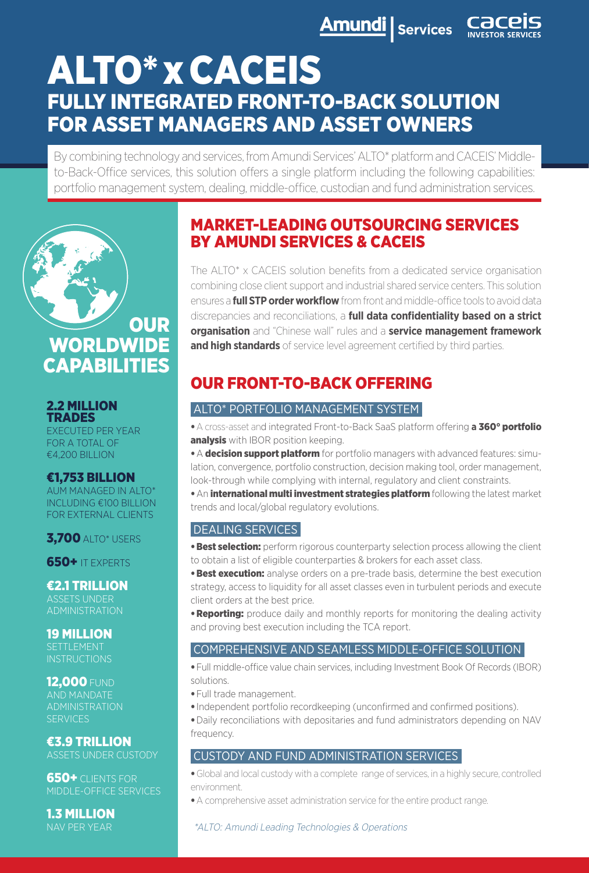**Amundi** Services Cac

# ALTO\* x CACEIS FULLY INTEGRATED FRONT-TO-BACK SOLUTION FOR ASSET MANAGERS AND ASSET OWNERS

By combining technology and services, from Amundi Services' ALTO\* platform and CACEIS' Middleto-Back-Office services, this solution offers a single platform including the following capabilities: portfolio management system, dealing, middle-office, custodian and fund administration services.



#### 2.2 MILLION TRADES

EXECUTED PER YEAR FOR A TOTAL OF €4,200 BILLION

#### €1,753 BILLION

AUM MANAGED IN ALTO\* INCLUDING €100 BILLION FOR EXTERNAL CLIENTS

**3,700 ALTO\* USERS** 

650+ IT EXPERTS

€2.1 TRILLION ASSETS UNDER ADMINISTRATION

19 MILLION SETTLEMENT **INSTRUCTIONS** 

## **12.000 FUND**

AND MANDATE **SERVICES** 

€3.9 TRILLION ASSETS UNDER CUSTODY

650+ CLIENTS FOR MIDDLE-OFFICE SERVICES

1.3 MILLION NAV PER YEAR

## MARKET-LEADING OUTSOURCING SERVICES BY AMUNDI SERVICES & CACEIS

The ALTO\* x CACEIS solution benefits from a dedicated service organisation combining close client support and industrial shared service centers. This solution ensures a **full STP order workflow** from front and middle-office tools to avoid data discrepancies and reconciliations, a **full data confidentiality based on a strict organisation** and "Chinese wall" rules and a **service management framework and high standards** of service level agreement certified by third parties.

# OUR FRONT-TO-BACK OFFERING

#### ALTO\* PORTFOLIO MANAGEMENT SYSTEMI

•A cross-asset and integrated Front-to-Back SaaS platform offering **a** 360° portfolio analysis with IBOR position keeping.

• A decision support platform for portfolio managers with advanced features: simulation, convergence, portfolio construction, decision making tool, order management, look-through while complying with internal, regulatory and client constraints.

• An international multi investment strategies platform following the latest market trends and local/global regulatory evolutions.

### DEALING SERVICES

**• Best selection:** perform rigorous counterparty selection process allowing the client to obtain a list of eligible counterparties & brokers for each asset class.

**•Best execution:** analyse orders on a pre-trade basis, determine the best execution strategy, access to liquidity for all asset classes even in turbulent periods and execute client orders at the best price.

• **Reporting:** produce daily and monthly reports for monitoring the dealing activity and proving best execution including the TCA report.

#### COMPREHENSIVE AND SEAMLESS MIDDLE-OFFICE SOLUTIONI

•Full middle-office value chain services, including Investment Book Of Records (IBOR) solutions.

- •Full trade management.
- Independent portfolio recordkeeping (unconfirmed and confirmed positions).

•Daily reconciliations with depositaries and fund administrators depending on NAV frequency.

#### CUSTODY AND FUND ADMINISTRATION SERVICES

•Global and local custody with a complete range of services, in a highly secure, controlled environment.

•A comprehensive asset administration service for the entire product range.

#### \*ALTO: Amundi Leading Technologies & Operations